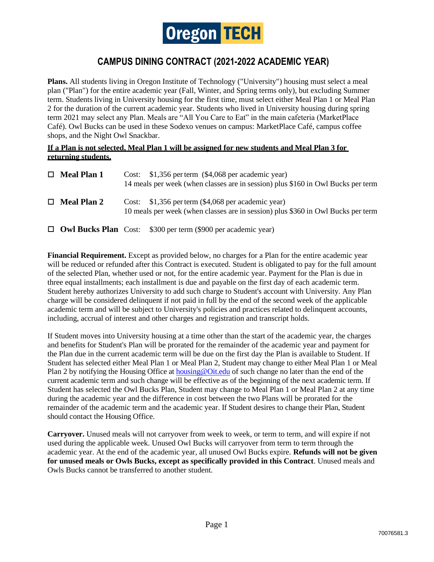

## **CAMPUS DINING CONTRACT (2021-2022 ACADEMIC YEAR)**

**Plans.** All students living in Oregon Institute of Technology ("University") housing must select a meal plan ("Plan") for the entire academic year (Fall, Winter, and Spring terms only), but excluding Summer term. Students living in University housing for the first time, must select either Meal Plan 1 or Meal Plan 2 for the duration of the current academic year. Students who lived in University housing during spring term 2021 may select any Plan. Meals are "All You Care to Eat" in the main cafeteria (MarketPlace Café). Owl Bucks can be used in these Sodexo venues on campus: MarketPlace Café, campus coffee shops, and the Night Owl Snackbar.

## **If a Plan is not selected, Meal Plan 1 will be assigned for new students and Meal Plan 3 for returning students.**

| $\Box$ Meal Plan 1 | Cost: $$1,356$ per term $$4,068$ per academic year)<br>14 meals per week (when classes are in session) plus \$160 in Owl Bucks per term |
|--------------------|-----------------------------------------------------------------------------------------------------------------------------------------|
| $\Box$ Meal Plan 2 | Cost: $$1,356$ per term $$4,068$ per academic year)<br>10 meals per week (when classes are in session) plus \$360 in Owl Bucks per term |
|                    | $\Box$ Owl Bucks Plan Cost: \$300 per term (\$900 per academic year)                                                                    |

**Financial Requirement.** Except as provided below, no charges for a Plan for the entire academic year will be reduced or refunded after this Contract is executed. Student is obligated to pay for the full amount of the selected Plan, whether used or not, for the entire academic year. Payment for the Plan is due in three equal installments; each installment is due and payable on the first day of each academic term. Student hereby authorizes University to add such charge to Student's account with University. Any Plan charge will be considered delinquent if not paid in full by the end of the second week of the applicable academic term and will be subject to University's policies and practices related to delinquent accounts, including, accrual of interest and other charges and registration and transcript holds.

If Student moves into University housing at a time other than the start of the academic year, the charges and benefits for Student's Plan will be prorated for the remainder of the academic year and payment for the Plan due in the current academic term will be due on the first day the Plan is available to Student. If Student has selected either Meal Plan 1 or Meal Plan 2, Student may change to either Meal Plan 1 or Meal Plan 2 by notifying the Housing Office at housing @Oit.edu of such change no later than the end of the current academic term and such change will be effective as of the beginning of the next academic term. If Student has selected the Owl Bucks Plan, Student may change to Meal Plan 1 or Meal Plan 2 at any time during the academic year and the difference in cost between the two Plans will be prorated for the remainder of the academic term and the academic year. If Student desires to change their Plan, Student should contact the Housing Office.

**Carryover.** Unused meals will not carryover from week to week, or term to term, and will expire if not used during the applicable week. Unused Owl Bucks will carryover from term to term through the academic year. At the end of the academic year, all unused Owl Bucks expire. **Refunds will not be given for unused meals or Owls Bucks, except as specifically provided in this Contract**. Unused meals and Owls Bucks cannot be transferred to another student.